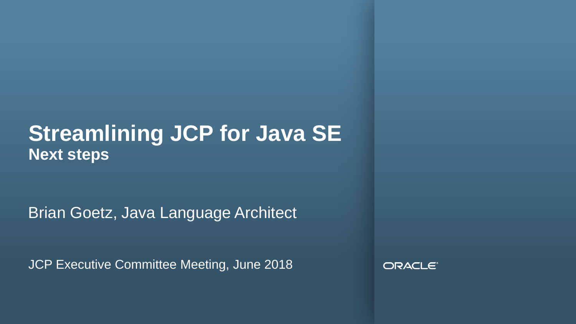#### **Streamlining JCP for Java SE Next steps**

Brian Goetz, Java Language Architect

JCP Executive Committee Meeting, June 2018

ORACLE<sup>®</sup>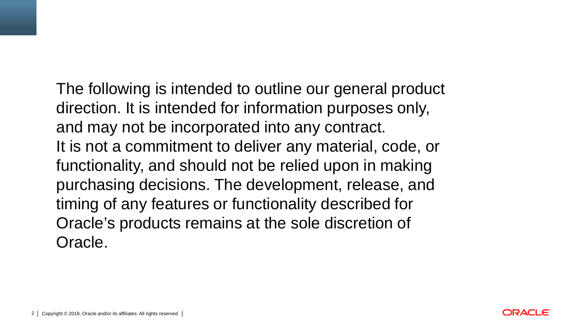The following is intended to outline our general product direction. It is intended for information purposes only, and may not be incorporated into any contract. It is not a commitment to deliver any material, code, or functionality, and should not be relied upon in making purchasing decisions. The development, release, and timing of any features or functionality described for Oracle's products remains at the sole discretion of Oracle.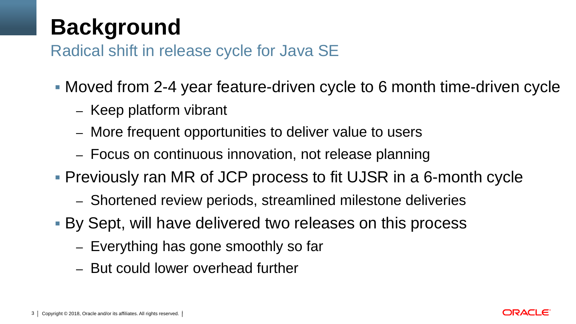### **Background**

Radical shift in release cycle for Java SE

- Moved from 2-4 year feature-driven cycle to 6 month time-driven cycle
	- Keep platform vibrant
	- More frequent opportunities to deliver value to users
	- Focus on continuous innovation, not release planning
- Previously ran MR of JCP process to fit UJSR in a 6-month cycle
	- Shortened review periods, streamlined milestone deliveries
- By Sept, will have delivered two releases on this process
	- Everything has gone smoothly so far
	- But could lower overhead further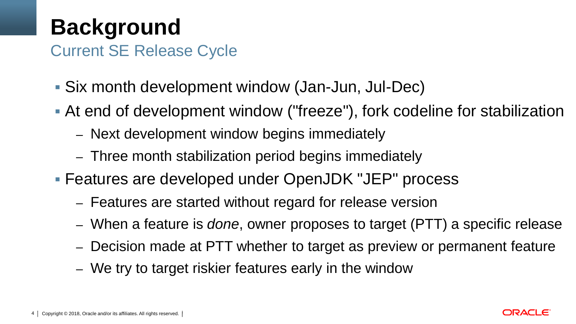## **Background**

Current SE Release Cycle

- Six month development window (Jan-Jun, Jul-Dec)
- At end of development window ("freeze"), fork codeline for stabilization
	- Next development window begins immediately
	- Three month stabilization period begins immediately
- Features are developed under OpenJDK "JEP" process
	- Features are started without regard for release version
	- When a feature is *done*, owner proposes to target (PTT) a specific release
	- Decision made at PTT whether to target as preview or permanent feature
	- We try to target riskier features early in the window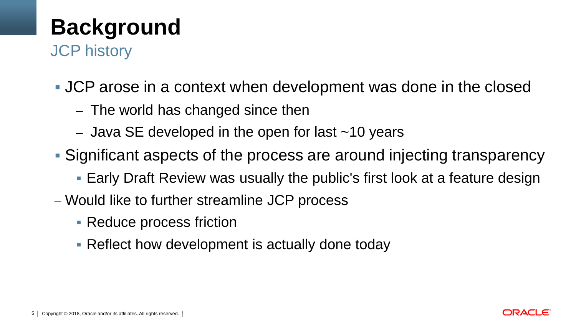# **Background**

JCP history

- JCP arose in a context when development was done in the closed
	- The world has changed since then
	- Java SE developed in the open for last  $\sim$ 10 years
- Significant aspects of the process are around injecting transparency
	- Early Draft Review was usually the public's first look at a feature design
- Would like to further streamline JCP process
	- Reduce process friction
	- Reflect how development is actually done today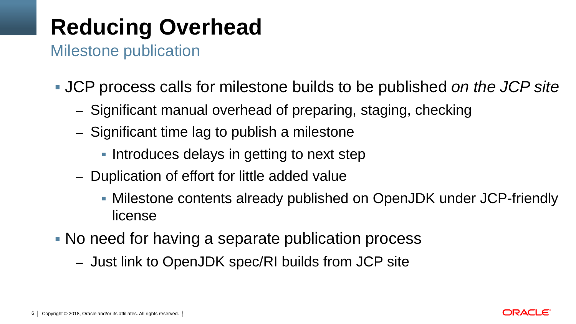Milestone publication

- JCP process calls for milestone builds to be published *on the JCP site*
	- Significant manual overhead of preparing, staging, checking
	- Significant time lag to publish a milestone
		- **Introduces delays in getting to next step**
	- Duplication of effort for little added value
		- Milestone contents already published on OpenJDK under JCP-friendly license
- No need for having a separate publication process
	- Just link to OpenJDK spec/RI builds from JCP site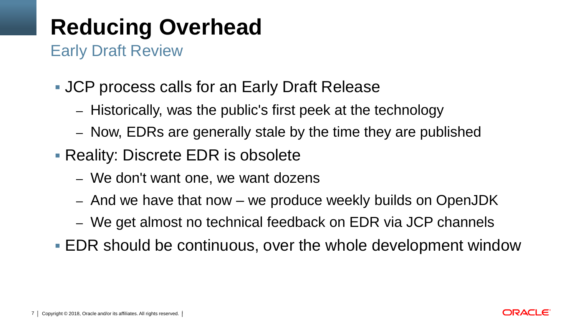Early Draft Review

- JCP process calls for an Early Draft Release
	- Historically, was the public's first peek at the technology
	- Now, EDRs are generally stale by the time they are published
- **Reality: Discrete EDR is obsolete** 
	- We don't want one, we want dozens
	- And we have that now we produce weekly builds on OpenJDK
	- We get almost no technical feedback on EDR via JCP channels
- EDR should be continuous, over the whole development window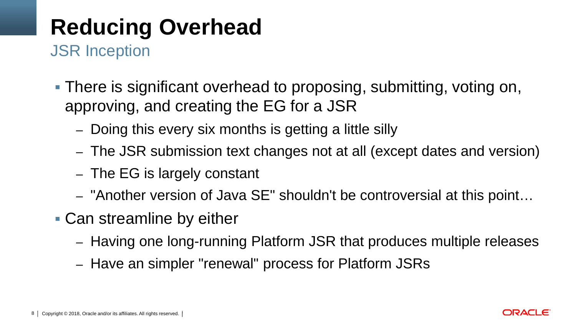JSR Inception

- There is significant overhead to proposing, submitting, voting on, approving, and creating the EG for a JSR
	- Doing this every six months is getting a little silly
	- The JSR submission text changes not at all (except dates and version)
	- The EG is largely constant
	- "Another version of Java SE" shouldn't be controversial at this point…
- Can streamline by either
	- Having one long-running Platform JSR that produces multiple releases
	- Have an simpler "renewal" process for Platform JSRs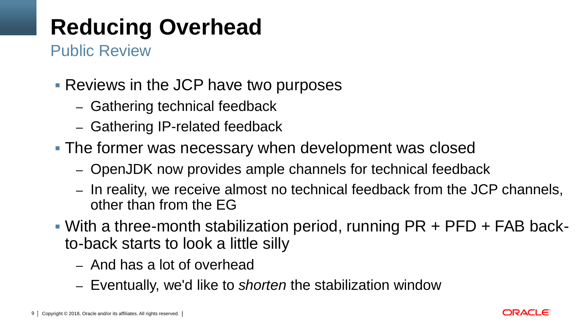Public Review

- Reviews in the JCP have two purposes
	- Gathering technical feedback
	- Gathering IP-related feedback
- **The former was necessary when development was closed** 
	- OpenJDK now provides ample channels for technical feedback
	- In reality, we receive almost no technical feedback from the JCP channels, other than from the EG
- With a three-month stabilization period, running PR + PFD + FAB backto-back starts to look a little silly
	- And has a lot of overhead
	- Eventually, we'd like to *shorten* the stabilization window